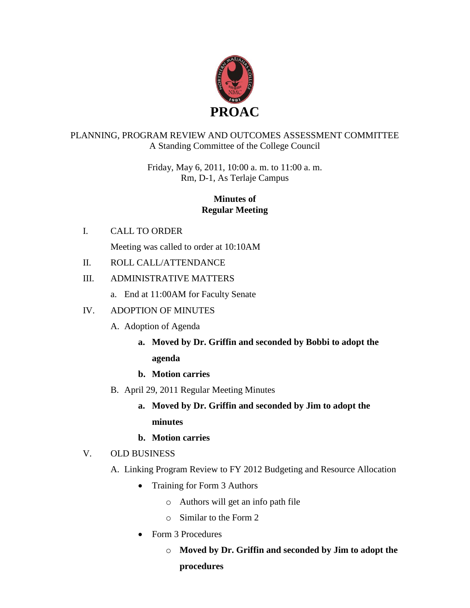

## PLANNING, PROGRAM REVIEW AND OUTCOMES ASSESSMENT COMMITTEE A Standing Committee of the College Council

Friday, May 6, 2011, 10:00 a. m. to 11:00 a. m. Rm, D-1, As Terlaje Campus

# **Minutes of Regular Meeting**

I. CALL TO ORDER

Meeting was called to order at 10:10AM

II. ROLL CALL/ATTENDANCE

# III. ADMINISTRATIVE MATTERS

a. End at 11:00AM for Faculty Senate

# IV. ADOPTION OF MINUTES

- A. Adoption of Agenda
	- **a. Moved by Dr. Griffin and seconded by Bobbi to adopt the agenda**
	- **b. Motion carries**
- B. April 29, 2011 Regular Meeting Minutes
	- **a. Moved by Dr. Griffin and seconded by Jim to adopt the minutes**
	- **b. Motion carries**

# V. OLD BUSINESS

- A. Linking Program Review to FY 2012 Budgeting and Resource Allocation
	- Training for Form 3 Authors
		- o Authors will get an info path file
		- o Similar to the Form 2
	- Form 3 Procedures
		- o **Moved by Dr. Griffin and seconded by Jim to adopt the procedures**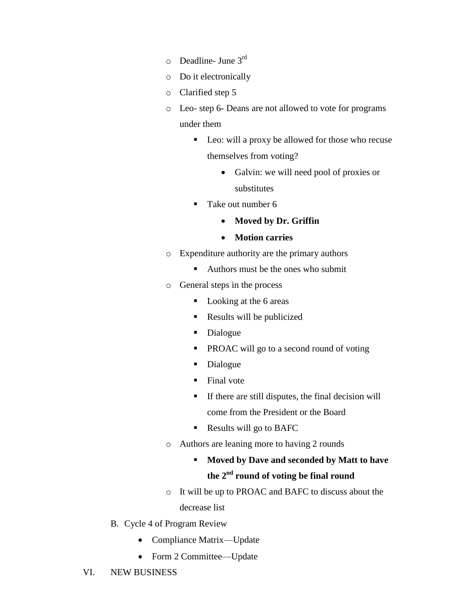- $\circ$  Deadline- June 3<sup>rd</sup>
- o Do it electronically
- o Clarified step 5
- o Leo- step 6- Deans are not allowed to vote for programs under them
	- Leo: will a proxy be allowed for those who recuse themselves from voting?
		- Galvin: we will need pool of proxies or substitutes
	- Take out number 6
		- **Moved by Dr. Griffin**
		- **Motion carries**
- o Expenditure authority are the primary authors
	- Authors must be the ones who submit
- o General steps in the process
	- Looking at the 6 areas
	- Results will be publicized
	- Dialogue
	- **PROAC** will go to a second round of voting
	- Dialogue
	- Final vote
	- $\blacksquare$  If there are still disputes, the final decision will come from the President or the Board
	- Results will go to BAFC
- o Authors are leaning more to having 2 rounds
	- **Moved by Dave and seconded by Matt to have the 2nd round of voting be final round**
- o It will be up to PROAC and BAFC to discuss about the decrease list
- B. Cycle 4 of Program Review
	- Compliance Matrix—Update
	- Form 2 Committee—Update
- VI. NEW BUSINESS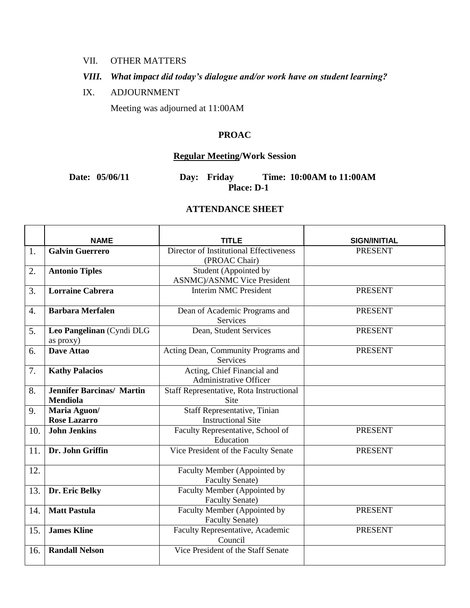## VII. OTHER MATTERS

# *VIII. What impact did today's dialogue and/or work have on student learning?*

#### IX. ADJOURNMENT

Meeting was adjourned at 11:00AM

#### **PROAC**

## **Regular Meeting/Work Session**

## **Date: 05/06/11 Day: Friday Time: 10:00AM to 11:00AM Place: D-1**

## **ATTENDANCE SHEET**

|     | <b>NAME</b>                      | <b>TITLE</b>                             | <b>SIGN/INITIAL</b> |
|-----|----------------------------------|------------------------------------------|---------------------|
| 1.  | <b>Galvin Guerrero</b>           | Director of Institutional Effectiveness  | <b>PRESENT</b>      |
|     |                                  | (PROAC Chair)                            |                     |
| 2.  | <b>Antonio Tiples</b>            | Student (Appointed by                    |                     |
|     |                                  | <b>ASNMC</b> )/ASNMC Vice President      |                     |
| 3.  | <b>Lorraine Cabrera</b>          | Interim NMC President                    | <b>PRESENT</b>      |
|     |                                  |                                          |                     |
| 4.  | <b>Barbara Merfalen</b>          | Dean of Academic Programs and            | <b>PRESENT</b>      |
|     |                                  | Services                                 |                     |
| 5.  | Leo Pangelinan (Cyndi DLG        | Dean, Student Services                   | <b>PRESENT</b>      |
|     | as proxy)                        |                                          |                     |
| 6.  | <b>Dave Attao</b>                | Acting Dean, Community Programs and      | <b>PRESENT</b>      |
|     |                                  | Services                                 |                     |
| 7.  | <b>Kathy Palacios</b>            | Acting, Chief Financial and              |                     |
|     |                                  | <b>Administrative Officer</b>            |                     |
| 8.  | <b>Jennifer Barcinas/ Martin</b> | Staff Representative, Rota Instructional |                     |
|     | <b>Mendiola</b>                  | <b>Site</b>                              |                     |
| 9.  | Maria Aguon/                     | Staff Representative, Tinian             |                     |
|     | <b>Rose Lazarro</b>              | <b>Instructional Site</b>                |                     |
| 10. | <b>John Jenkins</b>              | Faculty Representative, School of        | <b>PRESENT</b>      |
|     |                                  | Education                                |                     |
| 11. | Dr. John Griffin                 | Vice President of the Faculty Senate     | <b>PRESENT</b>      |
|     |                                  |                                          |                     |
| 12. |                                  | Faculty Member (Appointed by             |                     |
|     |                                  | <b>Faculty Senate)</b>                   |                     |
| 13. | Dr. Eric Belky                   | Faculty Member (Appointed by             |                     |
|     |                                  | <b>Faculty Senate)</b>                   |                     |
| 14. | <b>Matt Pastula</b>              | Faculty Member (Appointed by             | <b>PRESENT</b>      |
|     |                                  | <b>Faculty Senate)</b>                   |                     |
| 15. | <b>James Kline</b>               | Faculty Representative, Academic         | <b>PRESENT</b>      |
|     |                                  | Council                                  |                     |
| 16. | <b>Randall Nelson</b>            | Vice President of the Staff Senate       |                     |
|     |                                  |                                          |                     |